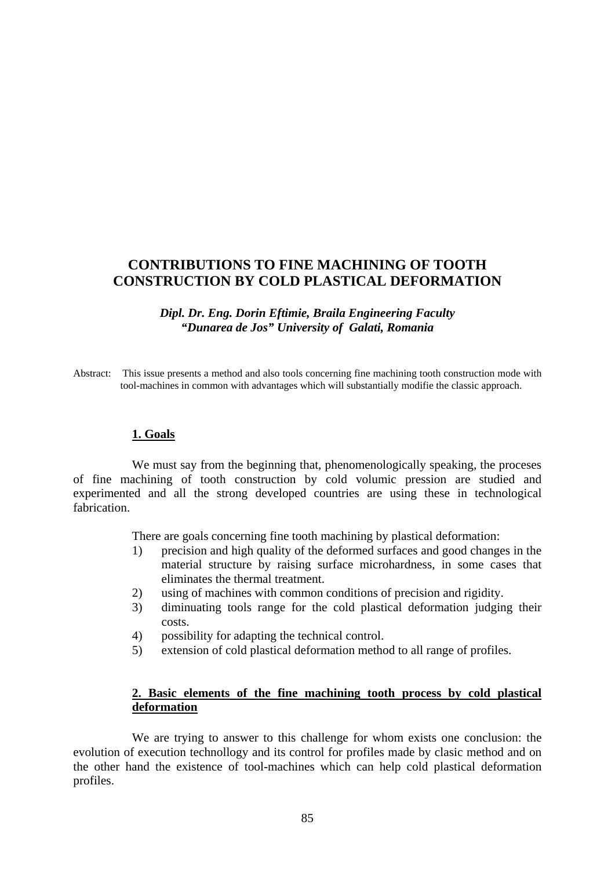# **CONTRIBUTIONS TO FINE MACHINING OF TOOTH CONSTRUCTION BY COLD PLASTICAL DEFORMATION**

*Dipl. Dr. Eng. Dorin Eftimie, Braila Engineering Faculty "Dunarea de Jos" University of Galati, Romania* 

Abstract: This issue presents a method and also tools concerning fine machining tooth construction mode with tool-machines in common with advantages which will substantially modifie the classic approach.

#### **1. Goals**

We must say from the beginning that, phenomenologically speaking, the proceses of fine machining of tooth construction by cold volumic pression are studied and experimented and all the strong developed countries are using these in technological fabrication.

There are goals concerning fine tooth machining by plastical deformation:

- 1) precision and high quality of the deformed surfaces and good changes in the material structure by raising surface microhardness, in some cases that eliminates the thermal treatment.
- 2) using of machines with common conditions of precision and rigidity.
- 3) diminuating tools range for the cold plastical deformation judging their costs.
- 4) possibility for adapting the technical control.
- 5) extension of cold plastical deformation method to all range of profiles.

## **2. Basic elements of the fine machining tooth process by cold plastical deformation**

We are trying to answer to this challenge for whom exists one conclusion: the evolution of execution technollogy and its control for profiles made by clasic method and on the other hand the existence of tool-machines which can help cold plastical deformation profiles.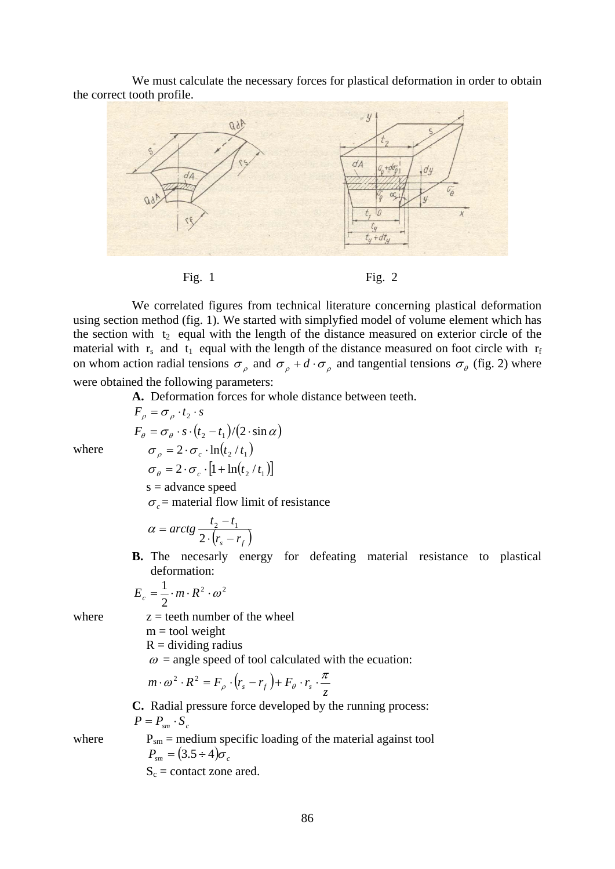We must calculate the necessary forces for plastical deformation in order to obtain the correct tooth profile.



We correlated figures from technical literature concerning plastical deformation using section method (fig. 1). We started with simplyfied model of volume element which has the section with  $t_2$  equal with the length of the distance measured on exterior circle of the material with  $r_s$  and  $t_1$  equal with the length of the distance measured on foot circle with  $r_f$ 

on whom action radial tensions  $\sigma_{\rho}$  and  $\sigma_{\rho} + d \cdot \sigma_{\rho}$  and tangential tensions  $\sigma_{\theta}$  (fig. 2) where were obtained the following parameters:

**A.** Deformation forces for whole distance between teeth.

 $F_a = \sigma_a \cdot t_2 \cdot s$  $F_{\theta} = \sigma_{\theta} \cdot s \cdot (t_2 - t_1)/(2 \cdot \sin \alpha)$ where  $\sigma_{\rho} = 2 \cdot \sigma_{c} \cdot \ln(t_{2} / t_{1})$  $\sigma_a = 2 \cdot \sigma_c \cdot [1 + \ln(t_2 / t_1)]$  $s =$ advance speed  $\sigma_c$  = material flow limit of resistance

$$
\alpha = \arctg \frac{t_2 - t_1}{2 \cdot (r_s - r_f)}
$$

**B.** The necesarly energy for defeating material resistance to plastical deformation:

$$
E_c = \frac{1}{2} \cdot m \cdot R^2 \cdot \omega^2
$$

where  $z = \text{teeth number of the wheel}$ 

 $m =$  tool weight

 $R =$  dividing radius

 $\omega$  = angle speed of tool calculated with the ecuation:

$$
m \cdot \omega^2 \cdot R^2 = F_\rho \cdot (r_s - r_f) + F_\theta \cdot r_s \cdot \frac{\pi}{z}
$$

**C.** Radial pressure force developed by the running process:  $P = P_{cm} \cdot S_c$ 

where  $P_{\rm sm}$  = medium specific loading of the material against tool  $P_{\rm sm} = (3.5 \div 4)\sigma_c$  $S_c$  = contact zone ared.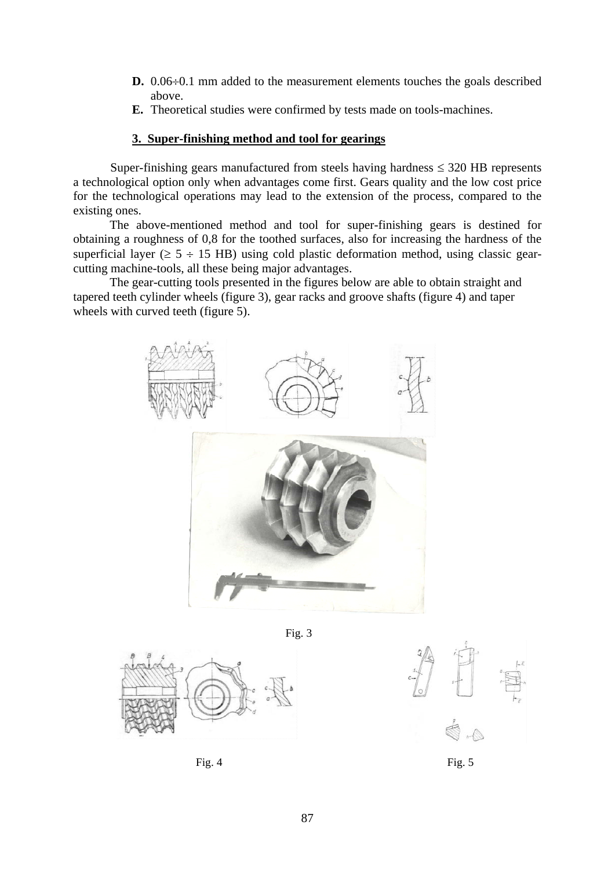- **D.** 0.06÷0.1 mm added to the measurement elements touches the goals described above.
- **E.** Theoretical studies were confirmed by tests made on tools-machines.

## **3. Super-finishing method and tool for gearings**

Super-finishing gears manufactured from steels having hardness  $\leq$  320 HB represents a technological option only when advantages come first. Gears quality and the low cost price for the technological operations may lead to the extension of the process, compared to the existing ones.

 The above-mentioned method and tool for super-finishing gears is destined for obtaining a roughness of 0,8 for the toothed surfaces, also for increasing the hardness of the superficial layer ( $\geq$  5 ÷ 15 HB) using cold plastic deformation method, using classic gearcutting machine-tools, all these being major advantages.

 The gear-cutting tools presented in the figures below are able to obtain straight and tapered teeth cylinder wheels (figure 3), gear racks and groove shafts (figure 4) and taper wheels with curved teeth (figure 5).



Fig. 3





Fig. 4  $Fig. 5$